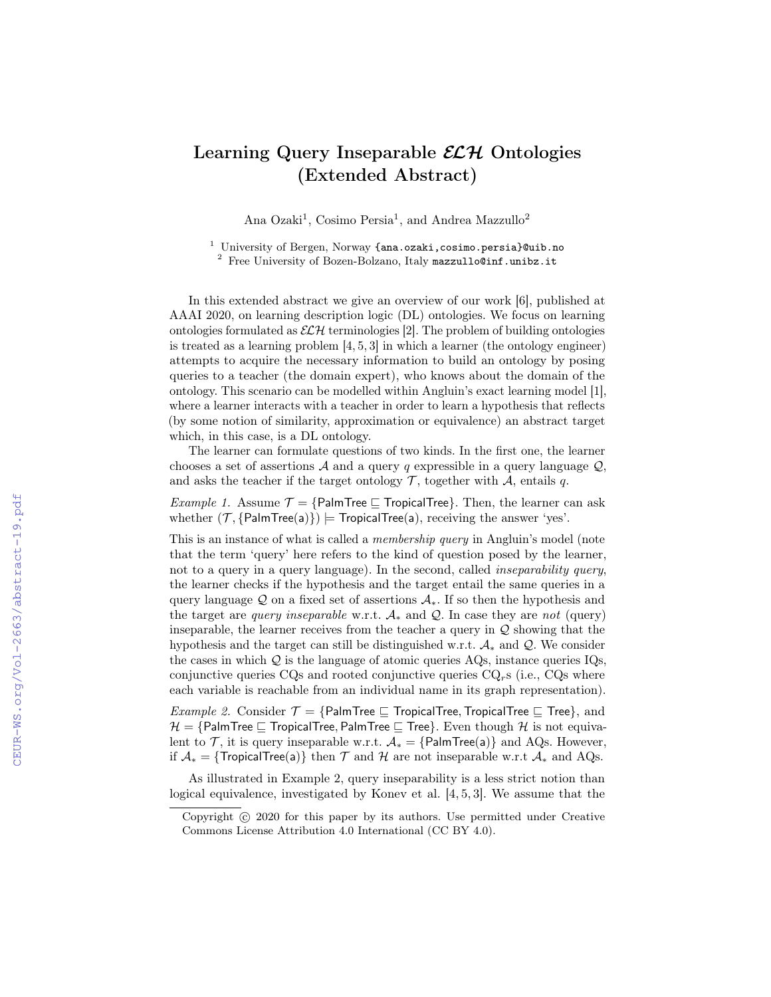## Learning Query Inseparable  $\mathcal{ELH}$  Ontologies (Extended Abstract)

Ana Ozaki<sup>1</sup>, Cosimo Persia<sup>1</sup>, and Andrea Mazzullo<sup>2</sup>

<sup>1</sup> University of Bergen, Norway  $\{\texttt{ana.ozaki}, \texttt{cosimo.persia}\}$  Quib.no  $2$  Free University of Bozen-Bolzano, Italy mazzullo@inf.unibz.it

In this extended abstract we give an overview of our work [6], published at AAAI 2020, on learning description logic (DL) ontologies. We focus on learning ontologies formulated as  $\mathcal{ELH}$  terminologies [2]. The problem of building ontologies is treated as a learning problem [4, 5, 3] in which a learner (the ontology engineer) attempts to acquire the necessary information to build an ontology by posing queries to a teacher (the domain expert), who knows about the domain of the ontology. This scenario can be modelled within Angluin's exact learning model [1], where a learner interacts with a teacher in order to learn a hypothesis that reflects (by some notion of similarity, approximation or equivalence) an abstract target which, in this case, is a DL ontology.

The learner can formulate questions of two kinds. In the first one, the learner chooses a set of assertions  $A$  and a query q expressible in a query language  $Q$ , and asks the teacher if the target ontology  $\mathcal{T}$ , together with  $\mathcal{A}$ , entails q.

*Example 1.* Assume  $\mathcal{T} = \{$ PalmTree  $\sqsubseteq$  TropicalTree $\}$ . Then, the learner can ask whether  $(\mathcal{T}, \{\text{PalmTree}(a)\})$  = TropicalTree(a), receiving the answer 'yes'.

This is an instance of what is called a *membership query* in Angluin's model (note that the term 'query' here refers to the kind of question posed by the learner, not to a query in a query language). In the second, called *inseparability query*, the learner checks if the hypothesis and the target entail the same queries in a query language Q on a fixed set of assertions  $A_{*}$ . If so then the hypothesis and the target are *query inseparable* w.r.t.  $A_*$  and  $\mathcal{Q}$ . In case they are *not* (query) inseparable, the learner receives from the teacher a query in  $Q$  showing that the hypothesis and the target can still be distinguished w.r.t.  $A_*$  and  $\mathcal{Q}$ . We consider the cases in which  $Q$  is the language of atomic queries AQs, instance queries IQs, conjunctive queries  $CQ<sub>s</sub>$  and rooted conjunctive queries  $CQ<sub>rs</sub>$  (i.e.,  $CQ<sub>s</sub>$  where each variable is reachable from an individual name in its graph representation).

*Example 2.* Consider  $\mathcal{T} = \{ \text{PalmTree} \sqsubseteq \text{TopicalTree}, \text{TopicalTree} \sqsubseteq \text{Tree} \}$ , and  $\mathcal{H} = \{ \text{PalmTree} \sqsubseteq \text{TopicalTree}, \text{PalmTree} \sqsubseteq \text{Tree} \}$ . Even though H is not equivalent to  $\mathcal{T}$ , it is query inseparable w.r.t.  $\mathcal{A}_{*} = \{ \text{PalmTree(a)} \}$  and AQs. However, if  $\mathcal{A}_* = \{\text{TropicalTree}(a)\}\$  then  $\mathcal T$  and  $\mathcal H$  are not inseparable w.r.t  $\mathcal A_*$  and AQs.

As illustrated in Example 2, query inseparability is a less strict notion than logical equivalence, investigated by Konev et al. [4, 5, 3]. We assume that the

Copyright  $\odot$  2020 for this paper by its authors. Use permitted under Creative Commons License Attribution 4.0 International (CC BY 4.0).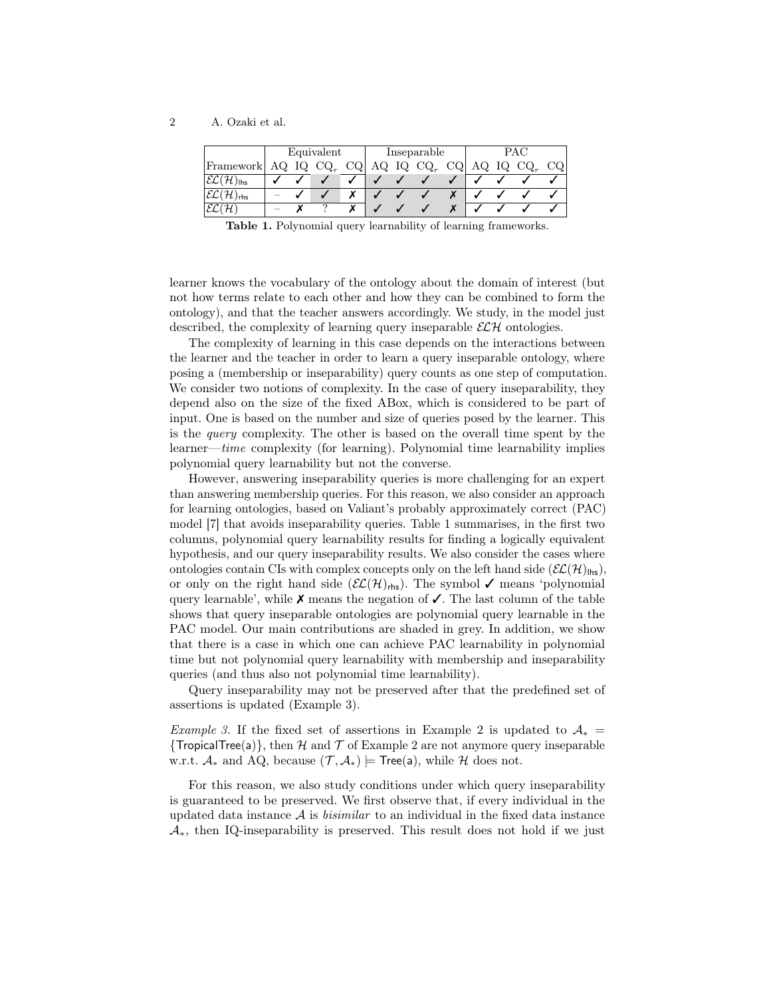2 A. Ozaki et al.

|                                              | Equivalent |     |                         |        | Inseparable |  |        |    | <b>PAC</b> |     |          |    |
|----------------------------------------------|------------|-----|-------------------------|--------|-------------|--|--------|----|------------|-----|----------|----|
| Framework                                    | AQ.        | IQ. | $\cdot$ CQ <sub>r</sub> | $CQ_1$ | AQ IQ       |  | $CQ_r$ | CQ | AQ         | IQ. | $CQ_{r}$ | CQ |
| $ \mathcal{EL}(\mathcal{H})_{\mathsf{lhs}} $ |            |     |                         |        |             |  |        |    |            |     |          |    |
| $\mathcal{EL}(\mathcal{H})_{\mathsf{rhs}}$   |            |     |                         |        |             |  |        |    |            |     |          |    |
| $\mathcal{EL}(\mathcal{H})$                  |            |     |                         |        |             |  |        |    |            |     |          |    |

Table 1. Polynomial query learnability of learning frameworks.

learner knows the vocabulary of the ontology about the domain of interest (but not how terms relate to each other and how they can be combined to form the ontology), and that the teacher answers accordingly. We study, in the model just described, the complexity of learning query inseparable  $\mathcal{ELH}$  ontologies.

The complexity of learning in this case depends on the interactions between the learner and the teacher in order to learn a query inseparable ontology, where posing a (membership or inseparability) query counts as one step of computation. We consider two notions of complexity. In the case of query inseparability, they depend also on the size of the fixed ABox, which is considered to be part of input. One is based on the number and size of queries posed by the learner. This is the query complexity. The other is based on the overall time spent by the learner—time complexity (for learning). Polynomial time learnability implies polynomial query learnability but not the converse.

However, answering inseparability queries is more challenging for an expert than answering membership queries. For this reason, we also consider an approach for learning ontologies, based on Valiant's probably approximately correct (PAC) model [7] that avoids inseparability queries. Table 1 summarises, in the first two columns, polynomial query learnability results for finding a logically equivalent hypothesis, and our query inseparability results. We also consider the cases where ontologies contain CIs with complex concepts only on the left hand side  $(\mathcal{EL}(\mathcal{H})_{\text{llns}})$ , or only on the right hand side  $(\mathcal{EL}(\mathcal{H})_{\text{rhs}})$ . The symbol  $\checkmark$  means 'polynomial query learnable', while  $\chi$  means the negation of  $\chi$ . The last column of the table shows that query inseparable ontologies are polynomial query learnable in the PAC model. Our main contributions are shaded in grey. In addition, we show that there is a case in which one can achieve PAC learnability in polynomial time but not polynomial query learnability with membership and inseparability queries (and thus also not polynomial time learnability).

Query inseparability may not be preserved after that the predefined set of assertions is updated (Example 3).

Example 3. If the fixed set of assertions in Example 2 is updated to  $A_* =$ {TropicalTree(a)}, then H and T of Example 2 are not anymore query inseparable w.r.t.  $\mathcal{A}_*$  and AQ, because  $(\mathcal{T}, \mathcal{A}_*)$  = Tree(a), while H does not.

For this reason, we also study conditions under which query inseparability is guaranteed to be preserved. We first observe that, if every individual in the updated data instance  $A$  is *bisimilar* to an individual in the fixed data instance  $\mathcal{A}_{*}$ , then IQ-inseparability is preserved. This result does not hold if we just